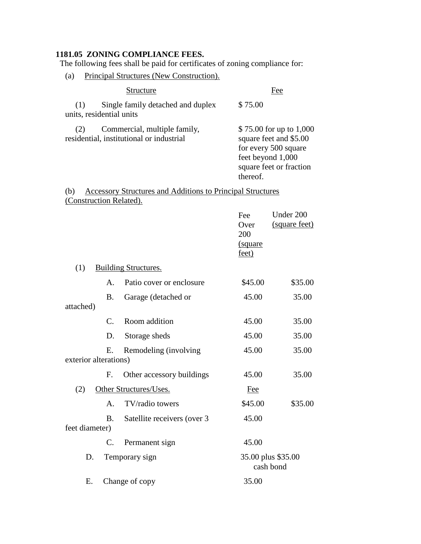## **1181.05 ZONING COMPLIANCE FEES.**

The following fees shall be paid for certificates of zoning compliance for:

(a) Principal Structures (New Construction).

| Structure |                                                                          | Fee                                                                                                                                   |  |
|-----------|--------------------------------------------------------------------------|---------------------------------------------------------------------------------------------------------------------------------------|--|
| (1)       | Single family detached and duplex<br>units, residential units            | \$75.00                                                                                                                               |  |
| (2)       | Commercial, multiple family,<br>residential, institutional or industrial | \$75.00 for up to 1,000<br>square feet and \$5.00<br>for every 500 square<br>feet beyond 1,000<br>square feet or fraction<br>thereof. |  |

## (b) Accessory Structures and Additions to Principal Structures (Construction Related).

|                       |                 |                             | Fee                             | Under 200     |
|-----------------------|-----------------|-----------------------------|---------------------------------|---------------|
|                       |                 |                             | Over                            | (square feet) |
|                       |                 |                             | 200                             |               |
|                       |                 |                             | (square                         |               |
|                       |                 |                             | feet)                           |               |
| (1)                   |                 | <b>Building Structures.</b> |                                 |               |
|                       | $\mathsf{A}$ .  | Patio cover or enclosure    | \$45.00                         | \$35.00       |
|                       | Β.              | Garage (detached or         | 45.00                           | 35.00         |
| attached)             |                 |                             |                                 |               |
|                       | $C_{\cdot}$     | Room addition               | 45.00                           | 35.00         |
|                       | D.              | Storage sheds               | 45.00                           | 35.00         |
|                       | Ε.              | Remodeling (involving       | 45.00                           | 35.00         |
| exterior alterations) |                 |                             |                                 |               |
|                       | F.              | Other accessory buildings   | 45.00                           | 35.00         |
| (2)                   |                 | Other Structures/Uses.      | <b>Fee</b>                      |               |
|                       | A.              | TV/radio towers             | \$45.00                         | \$35.00       |
|                       | B.              | Satellite receivers (over 3 | 45.00                           |               |
| feet diameter)        |                 |                             |                                 |               |
|                       | $\mathcal{C}$ . | Permanent sign              | 45.00                           |               |
| D.                    |                 | Temporary sign              | 35.00 plus \$35.00<br>cash bond |               |
| Ε.                    |                 | Change of copy              | 35.00                           |               |